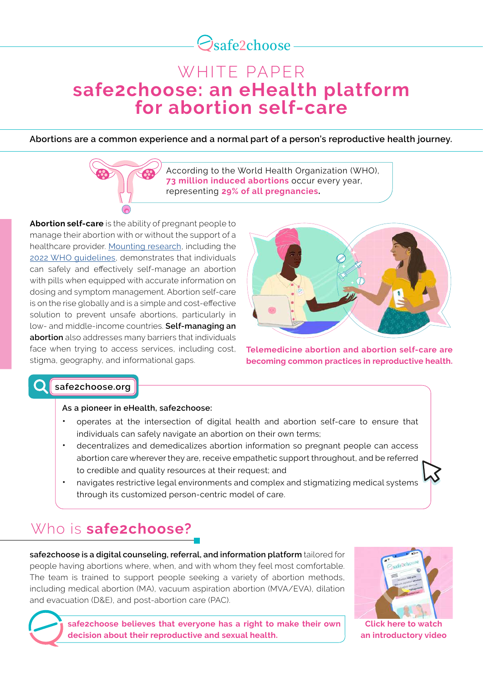

## WHITE PAPER **safe2choose: an eHealth platform for abortion self-care**

**Abortions are a common experience and a normal part of a person's reproductive health journey.** 

[According to the World Health Organization \(WHO\),](https://www.who.int/news-room/fact-sheets/detail/abortion) **73 million induced abortions** occur every year, representing **29% of all pregnancies.** 

**Abortion self-care** is the ability of pregnant people to manage their abortion with or without the support of a healthcare provider. [Mounting research](https://www.thelancet.com/journals/langlo/article/PIIS2214-109X(21)00461-7/fulltext), including the [2022 WHO guidelines](https://www.who.int/publications/i/item/9789240039483), demonstrates that individuals can safely and effectively self-manage an abortion with pills when equipped with accurate information on dosing and symptom management. Abortion self-care is on the rise globally and is a simple and cost-effective solution to prevent unsafe abortions, particularly in low- and middle-income countries. **Self-managing an abortion** also addresses many barriers that individuals face when trying to access services, including cost, stigma, geography, and informational gaps.



**Telemedicine abortion and abortion self-care are becoming common practices in reproductive health.**

### **[safe2choose.org](https://safe2choose.org/)**

#### **As a pioneer in eHealth, safe2choose:**

- operates at the intersection of digital health and abortion self-care to ensure that individuals can safely navigate an abortion on their own terms;
- decentralizes and demedicalizes abortion information so pregnant people can access abortion care wherever they are, receive empathetic support throughout, and be referred to credible and quality resources at their request; and
- navigates restrictive legal environments and complex and stigmatizing medical systems through its customized person-centric model of care.

## Who is **safe2choose?**

**safe2choose is a digital counseling, referral, and information platform** tailored for people having abortions where, when, and with whom they feel most comfortable. The team is trained to support people seeking a variety of abortion methods, including medical abortion (MA), vacuum aspiration abortion (MVA/EVA), dilation and evacuation (D&E), and post-abortion care (PAC).



**[Click here to watch](https://www.youtube.com/watch?v=UsdE--N5WJc)  [an introductory video](https://www.youtube.com/watch?v=UsdE--N5WJc)**

**safe2choose believes that everyone has a right to make their own decision about their reproductive and sexual health.**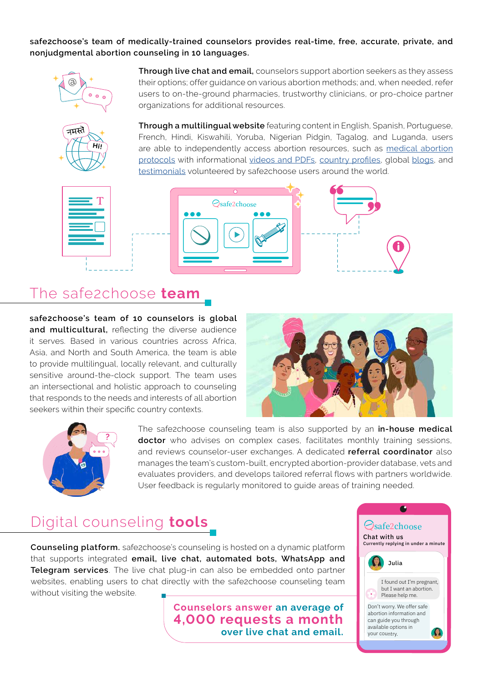**safe2choose's team of medically-trained counselors provides real-time, free, accurate, private, and nonjudgmental abortion counseling in 10 languages.**



**Hi!**

their options; offer guidance on various abortion methods; and, when needed, refer users to on-the-ground pharmacies, trustworthy clinicians, or pro-choice partner organizations for additional resources.

**Through live chat and email,** counselors support abortion seekers as they assess

**Through a multilingual website** featuring content in English, Spanish, Portuguese, French, Hindi, Kiswahili, Yoruba, Nigerian Pidgin, Tagalog, and Luganda, users are able to independently access abortion resources, such as [medical abortion](https://safe2choose.org/safe-abortion/abortion-pills/) [protocols](https://safe2choose.org/safe-abortion/abortion-pills/) with informational [videos and PDFs](https://safe2choose.org/abortion-information/resources/), [country profiles](https://safe2choose.org/abortion-information/countries/), global [blogs](https://safe2choose.org/blog/), and [testimonials](https://safe2choose.org/abortion-stories/) volunteered by safe2choose users around the world.





## The safe2choose **team**

**safe2choose's team of 10 counselors is global and multicultural,** reflecting the diverse audience it serves. Based in various countries across Africa, Asia, and North and South America, the team is able to provide multilingual, locally relevant, and culturally sensitive around-the-clock support. The team uses an intersectional and holistic approach to counseling that responds to the needs and interests of all abortion seekers within their specific country contexts.





The safe2choose counseling team is also supported by an **in-house medical**  doctor who advises on complex cases, facilitates monthly training sessions, and reviews counselor-user exchanges. A dedicated **referral coordinator** also manages the team's custom-built, encrypted abortion-provider database, vets and evaluates providers, and develops tailored referral flows with partners worldwide. User feedback is regularly monitored to guide areas of training needed.

# Digital counseling **tools**

**Counseling platform.** safe2choose's counseling is hosted on a dynamic platform that supports integrated **email, live chat, automated bots, WhatsApp and Telegram services**. The live chat plug-in can also be embedded onto partner websites, enabling users to chat directly with the safe2choose counseling team without visiting the website.



**Counselors answer an average of 4,000 requests a month over live chat and email.**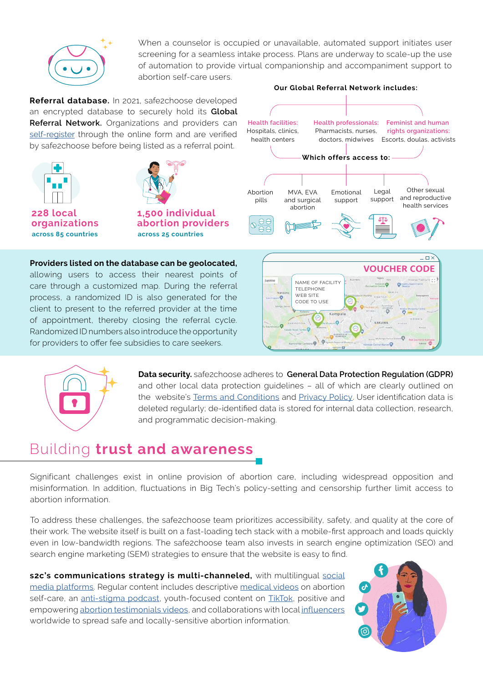

When a counselor is occupied or unavailable, automated support initiates user screening for a seamless intake process. Plans are underway to scale-up the use of automation to provide virtual companionship and accompaniment support to abortion self-care users.

**Referral database.** In 2021, safe2choose developed an encrypted database to securely hold its **Global Referral Network.** Organizations and providers can [self-register](https://referraldb.safe2choose.org/health-provider-portal/en) through the online form and are verified by safe2choose before being listed as a referral point.





**1,500 individual abortion providers across 25 countries**

#### **Providers listed on the database can be geolocated,**

allowing users to access their nearest points of care through a customized map. During the referral process, a randomized ID is also generated for the client to present to the referred provider at the time of appointment, thereby closing the referral cycle. Randomized ID numbers also introduce the opportunity for providers to offer fee subsidies to care seekers.



**Our Global Referral Network includes:�**





**Data security.** safe2choose adheres to **General Data Protection Regulation (GDPR)**  and other local data protection guidelines – all of which are clearly outlined on the website's [Terms and Conditions](https://safe2choose.org/terms-and-conditions) and [Privacy Policy](https://safe2choose.org/privacy-policy). User identification data is deleted regularly; de-identified data is stored for internal data collection, research, and programmatic decision-making.

## Building **trust and awareness**

Significant challenges exist in online provision of abortion care, including widespread opposition and misinformation. In addition, fluctuations in Big Tech's policy-setting and censorship further limit access to abortion information.

To address these challenges, the safe2choose team prioritizes accessibility, safety, and quality at the core of their work. The website itself is built on a fast-loading tech stack with a mobile-first approach and loads quickly even in low-bandwidth regions. The safe2choose team also invests in search engine optimization (SEO) and search engine marketing (SEM) strategies to ensure that the website is easy to find.

**s2c's communications strategy is multi-channeled,** with multilingual [social](https://campsite.bio/safe2choose) [media](https://campsite.bio/safe2choose) platforms. Regular content includes descriptive [medical videos](https://www.youtube.com/watch?v=1hfEaLZeMHY) on abortion self-care, an [anti-stigma podcast](https://safe2choose.org/abortion-information/podcast), youth-focused content on [TikTok](https://www.tiktok.com/@safe2choose?), positive and empowering [abortion testimonials videos](https://www.youtube.com/watch?v=T7S0fODJAQw&list=PLTOL7vwXsxlqHLNWb6xpqYVA08W5fdxSC), and collaborations with local [influencers](https://www.instagram.com/p/CW7-JoxgMo9/) worldwide to spread safe and locally-sensitive abortion information.